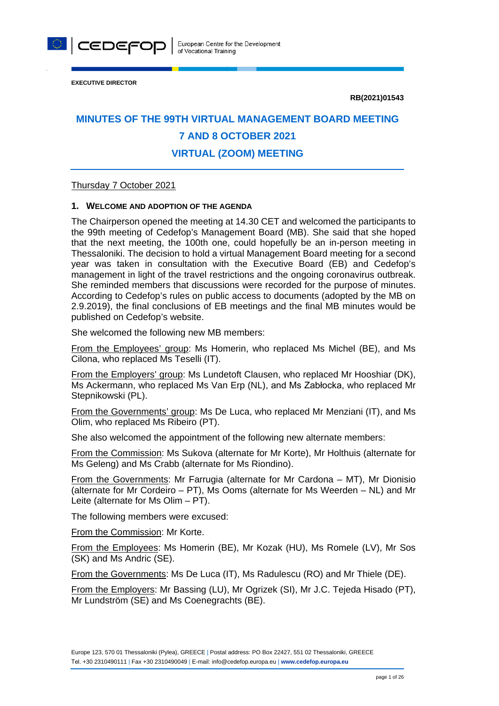

**EXECUTIVE DIRECTOR**

**RB(2021)01543**

# **MINUTES OF THE 99TH VIRTUAL MANAGEMENT BOARD MEETING 7 AND 8 OCTOBER 2021 VIRTUAL (ZOOM) MEETING**

## Thursday 7 October 2021

#### **1. WELCOME AND ADOPTION OF THE AGENDA**

The Chairperson opened the meeting at 14.30 CET and welcomed the participants to the 99th meeting of Cedefop's Management Board (MB). She said that she hoped that the next meeting, the 100th one, could hopefully be an in-person meeting in Thessaloniki. The decision to hold a virtual Management Board meeting for a second year was taken in consultation with the Executive Board (EB) and Cedefop's management in light of the travel restrictions and the ongoing coronavirus outbreak. She reminded members that discussions were recorded for the purpose of minutes. According to Cedefop's rules on public access to documents (adopted by the MB on 2.9.2019), the final conclusions of EB meetings and the final MB minutes would be published on Cedefop's website.

She welcomed the following new MB members:

From the Employees' group: Ms Homerin, who replaced Ms Michel (BE), and Ms Cilona, who replaced Ms Teselli (IT).

From the Employers' group: Ms Lundetoft Clausen, who replaced Mr Hooshiar (DK), Ms Ackermann, who replaced Ms Van Erp (NL), and Ms Zabłocka, who replaced Mr Stepnikowski (PL).

From the Governments' group: Ms De Luca, who replaced Mr Menziani (IT), and Ms Olim, who replaced Ms Ribeiro (PT).

She also welcomed the appointment of the following new alternate members:

From the Commission: Ms Sukova (alternate for Mr Korte), Mr Holthuis (alternate for Ms Geleng) and Ms Crabb (alternate for Ms Riondino).

From the Governments: Mr Farrugia (alternate for Mr Cardona – MT), Mr Dionisio (alternate for Mr Cordeiro – PT), Ms Ooms (alternate for Ms Weerden – NL) and Mr Leite (alternate for Ms Olim – PT).

The following members were excused:

From the Commission: Mr Korte.

From the Employees: Ms Homerin (BE), Mr Kozak (HU), Ms Romele (LV), Mr Sos (SK) and Ms Andric (SE).

From the Governments: Ms De Luca (IT), Ms Radulescu (RO) and Mr Thiele (DE).

From the Employers: Mr Bassing (LU), Mr Ogrizek (SI), Mr J.C. Tejeda Hisado (PT), Mr Lundström (SE) and Ms Coenegrachts (BE).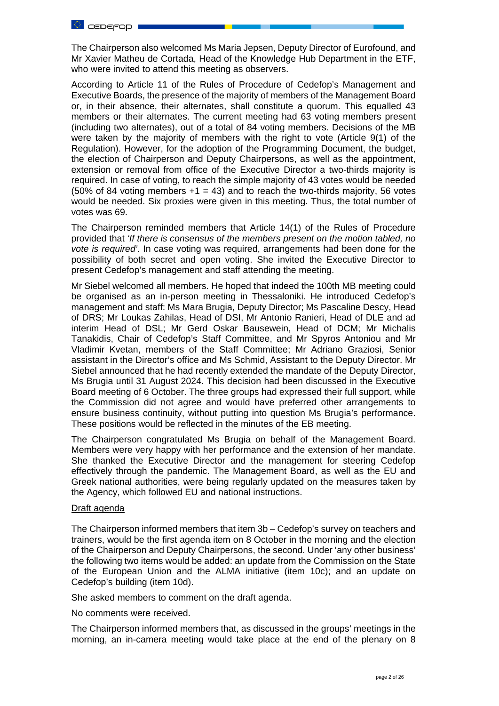

The Chairperson also welcomed Ms Maria Jepsen, Deputy Director of Eurofound, and Mr Xavier Matheu de Cortada, Head of the Knowledge Hub Department in the ETF, who were invited to attend this meeting as observers.

According to Article 11 of the Rules of Procedure of Cedefop's Management and Executive Boards, the presence of the majority of members of the Management Board or, in their absence, their alternates, shall constitute a quorum. This equalled 43 members or their alternates. The current meeting had 63 voting members present (including two alternates), out of a total of 84 voting members. Decisions of the MB were taken by the majority of members with the right to vote (Article 9(1) of the Regulation). However, for the adoption of the Programming Document, the budget, the election of Chairperson and Deputy Chairpersons, as well as the appointment, extension or removal from office of the Executive Director a two-thirds majority is required. In case of voting, to reach the simple majority of 43 votes would be needed (50% of 84 voting members  $+1 = 43$ ) and to reach the two-thirds majority, 56 votes would be needed. Six proxies were given in this meeting. Thus, the total number of votes was 69.

The Chairperson reminded members that Article 14(1) of the Rules of Procedure provided that *'If there is consensus of the members present on the motion tabled, no vote is required'.* In case voting was required, arrangements had been done for the possibility of both secret and open voting. She invited the Executive Director to present Cedefop's management and staff attending the meeting.

Mr Siebel welcomed all members. He hoped that indeed the 100th MB meeting could be organised as an in-person meeting in Thessaloniki. He introduced Cedefop's management and staff: Ms Mara Brugia, Deputy Director; Ms Pascaline Descy, Head of DRS; Mr Loukas Zahilas, Head of DSI, Mr Antonio Ranieri, Head of DLE and ad interim Head of DSL; Mr Gerd Oskar Bausewein, Head of DCM; Mr Michalis Tanakidis, Chair of Cedefop's Staff Committee, and Mr Spyros Antoniou and Mr Vladimir Kvetan, members of the Staff Committee; Mr Adriano Graziosi, Senior assistant in the Director's office and Ms Schmid, Assistant to the Deputy Director. Mr Siebel announced that he had recently extended the mandate of the Deputy Director, Ms Brugia until 31 August 2024. This decision had been discussed in the Executive Board meeting of 6 October. The three groups had expressed their full support, while the Commission did not agree and would have preferred other arrangements to ensure business continuity, without putting into question Ms Brugia's performance. These positions would be reflected in the minutes of the EB meeting.

The Chairperson congratulated Ms Brugia on behalf of the Management Board. Members were very happy with her performance and the extension of her mandate. She thanked the Executive Director and the management for steering Cedefop effectively through the pandemic. The Management Board, as well as the EU and Greek national authorities, were being regularly updated on the measures taken by the Agency, which followed EU and national instructions.

#### Draft agenda

The Chairperson informed members that item 3b – Cedefop's survey on teachers and trainers, would be the first agenda item on 8 October in the morning and the election of the Chairperson and Deputy Chairpersons, the second. Under 'any other business' the following two items would be added: an update from the Commission on the State of the European Union and the ALMA initiative (item 10c); and an update on Cedefop's building (item 10d).

She asked members to comment on the draft agenda.

No comments were received.

The Chairperson informed members that, as discussed in the groups' meetings in the morning, an in-camera meeting would take place at the end of the plenary on 8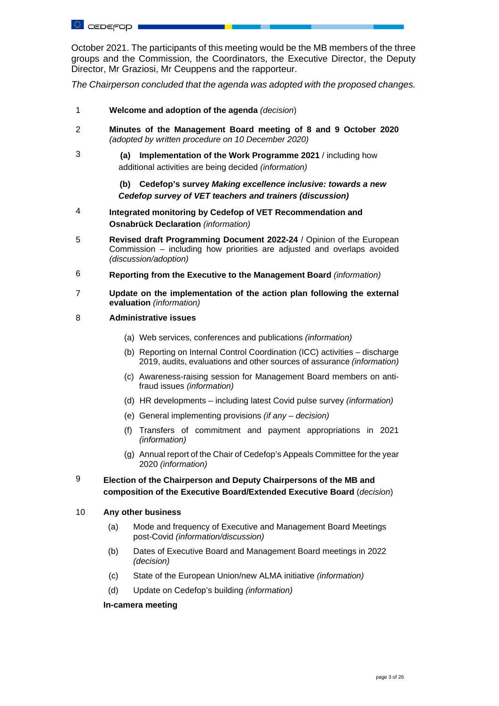October 2021. The participants of this meeting would be the MB members of the three groups and the Commission, the Coordinators, the Executive Director, the Deputy Director, Mr Graziosi, Mr Ceuppens and the rapporteur.

*The Chairperson concluded that the agenda was adopted with the proposed changes.*

- 1 **Welcome and adoption of the agenda** *(decision*)
- 2 **Minutes of the Management Board meeting of 8 and 9 October 2020**  *(adopted by written procedure on 10 December 2020)*
- 3 **(a) Implementation of the Work Programme 2021** / including how additional activities are being decided *(information)*

**(b) Cedefop's survey** *Making excellence inclusive: towards a new Cedefop survey of VET teachers and trainers (discussion)*

- 4 **Integrated monitoring by Cedefop of VET Recommendation and Osnabrück Declaration** *(information)*
- 5 **Revised draft Programming Document 2022-24** / Opinion of the European Commission – including how priorities are adjusted and overlaps avoided *(discussion/adoption)*
- 6 **Reporting from the Executive to the Management Board** *(information)*
- 7 **Update on the implementation of the action plan following the external evaluation** *(information)*
- 8 **Administrative issues**
	- (a) Web services, conferences and publications *(information)*
	- (b) Reporting on Internal Control Coordination (ICC) activities discharge 2019, audits, evaluations and other sources of assurance *(information)*
	- (c) Awareness-raising session for Management Board members on antifraud issues *(information)*
	- (d) HR developments including latest Covid pulse survey *(information)*
	- (e) General implementing provisions *(if any – decision)*
	- (f) Transfers of commitment and payment appropriations in 2021 *(information)*
	- (g) Annual report of the Chair of Cedefop's Appeals Committee for the year 2020 *(information)*

# 9 **Election of the Chairperson and Deputy Chairpersons of the MB and composition of the Executive Board/Extended Executive Board** (*decision*)

#### 10 **Any other business**

- (a) Mode and frequency of Executive and Management Board Meetings post-Covid *(information/discussion)*
- (b) Dates of Executive Board and Management Board meetings in 2022 *(decision)*
- (c) State of the European Union/new ALMA initiative *(information)*
- (d) Update on Cedefop's building *(information)*

#### **In-camera meeting**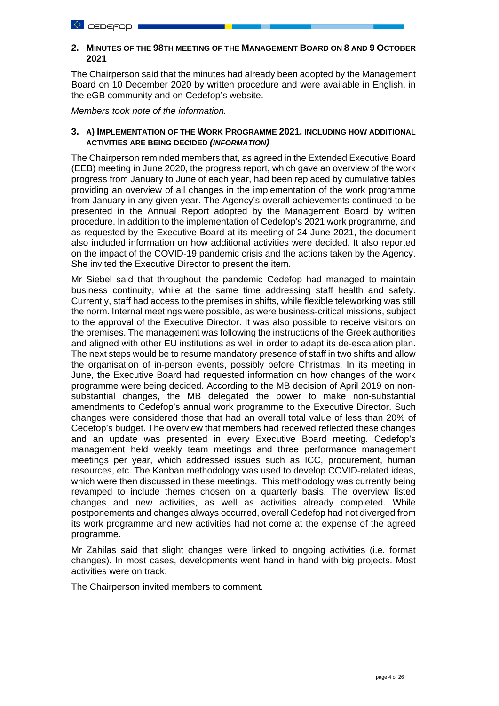## **2. MINUTES OF THE 98TH MEETING OF THE MANAGEMENT BOARD ON 8 AND 9 OCTOBER 2021**

The Chairperson said that the minutes had already been adopted by the Management Board on 10 December 2020 by written procedure and were available in English, in the eGB community and on Cedefop's website.

*Members took note of the information.*

## **3. A) IMPLEMENTATION OF THE WORK PROGRAMME 2021, INCLUDING HOW ADDITIONAL ACTIVITIES ARE BEING DECIDED** *(INFORMATION)*

The Chairperson reminded members that, as agreed in the Extended Executive Board (EEB) meeting in June 2020, the progress report, which gave an overview of the work progress from January to June of each year, had been replaced by cumulative tables providing an overview of all changes in the implementation of the work programme from January in any given year. The Agency's overall achievements continued to be presented in the Annual Report adopted by the Management Board by written procedure. In addition to the implementation of Cedefop's 2021 work programme, and as requested by the Executive Board at its meeting of 24 June 2021, the document also included information on how additional activities were decided. It also reported on the impact of the COVID-19 pandemic crisis and the actions taken by the Agency. She invited the Executive Director to present the item.

Mr Siebel said that throughout the pandemic Cedefop had managed to maintain business continuity, while at the same time addressing staff health and safety. Currently, staff had access to the premises in shifts, while flexible teleworking was still the norm. Internal meetings were possible, as were business-critical missions, subject to the approval of the Executive Director. It was also possible to receive visitors on the premises. The management was following the instructions of the Greek authorities and aligned with other EU institutions as well in order to adapt its de-escalation plan. The next steps would be to resume mandatory presence of staff in two shifts and allow the organisation of in-person events, possibly before Christmas. In its meeting in June, the Executive Board had requested information on how changes of the work programme were being decided. According to the MB decision of April 2019 on nonsubstantial changes, the MB delegated the power to make non-substantial amendments to Cedefop's annual work programme to the Executive Director. Such changes were considered those that had an overall total value of less than 20% of Cedefop's budget. The overview that members had received reflected these changes and an update was presented in every Executive Board meeting. Cedefop's management held weekly team meetings and three performance management meetings per year, which addressed issues such as ICC, procurement, human resources, etc. The Kanban methodology was used to develop COVID-related ideas, which were then discussed in these meetings. This methodology was currently being revamped to include themes chosen on a quarterly basis. The overview listed changes and new activities, as well as activities already completed. While postponements and changes always occurred, overall Cedefop had not diverged from its work programme and new activities had not come at the expense of the agreed programme.

Mr Zahilas said that slight changes were linked to ongoing activities (i.e. format changes). In most cases, developments went hand in hand with big projects. Most activities were on track.

The Chairperson invited members to comment.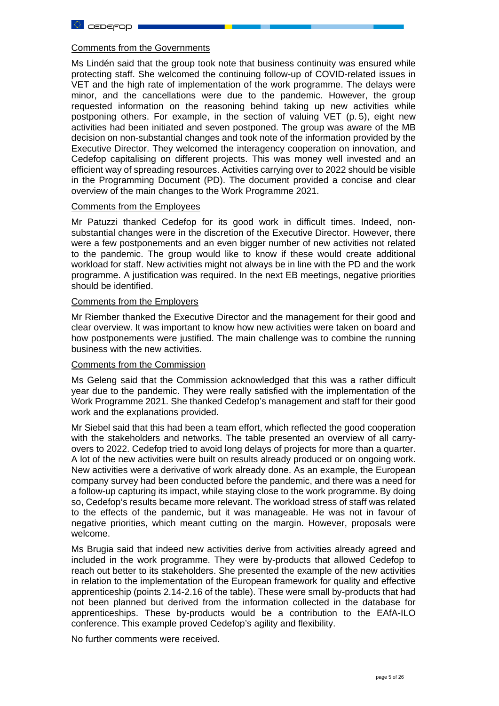## Comments from the Governments

Ms Lindén said that the group took note that business continuity was ensured while protecting staff. She welcomed the continuing follow-up of COVID-related issues in VET and the high rate of implementation of the work programme. The delays were minor, and the cancellations were due to the pandemic. However, the group requested information on the reasoning behind taking up new activities while postponing others. For example, in the section of valuing VET (p. 5), eight new activities had been initiated and seven postponed. The group was aware of the MB decision on non-substantial changes and took note of the information provided by the Executive Director. They welcomed the interagency cooperation on innovation, and Cedefop capitalising on different projects. This was money well invested and an efficient way of spreading resources. Activities carrying over to 2022 should be visible in the Programming Document (PD). The document provided a concise and clear overview of the main changes to the Work Programme 2021.

#### Comments from the Employees

Mr Patuzzi thanked Cedefop for its good work in difficult times. Indeed, nonsubstantial changes were in the discretion of the Executive Director. However, there were a few postponements and an even bigger number of new activities not related to the pandemic. The group would like to know if these would create additional workload for staff. New activities might not always be in line with the PD and the work programme. A justification was required. In the next EB meetings, negative priorities should be identified.

#### Comments from the Employers

Mr Riember thanked the Executive Director and the management for their good and clear overview. It was important to know how new activities were taken on board and how postponements were justified. The main challenge was to combine the running business with the new activities.

## Comments from the Commission

Ms Geleng said that the Commission acknowledged that this was a rather difficult year due to the pandemic. They were really satisfied with the implementation of the Work Programme 2021. She thanked Cedefop's management and staff for their good work and the explanations provided.

Mr Siebel said that this had been a team effort, which reflected the good cooperation with the stakeholders and networks. The table presented an overview of all carryovers to 2022. Cedefop tried to avoid long delays of projects for more than a quarter. A lot of the new activities were built on results already produced or on ongoing work. New activities were a derivative of work already done. As an example, the European company survey had been conducted before the pandemic, and there was a need for a follow-up capturing its impact, while staying close to the work programme. By doing so, Cedefop's results became more relevant. The workload stress of staff was related to the effects of the pandemic, but it was manageable. He was not in favour of negative priorities, which meant cutting on the margin. However, proposals were welcome.

Ms Brugia said that indeed new activities derive from activities already agreed and included in the work programme. They were by-products that allowed Cedefop to reach out better to its stakeholders. She presented the example of the new activities in relation to the implementation of the European framework for quality and effective apprenticeship (points 2.14-2.16 of the table). These were small by-products that had not been planned but derived from the information collected in the database for apprenticeships. These by-products would be a contribution to the EAfA-ILO conference. This example proved Cedefop's agility and flexibility.

No further comments were received.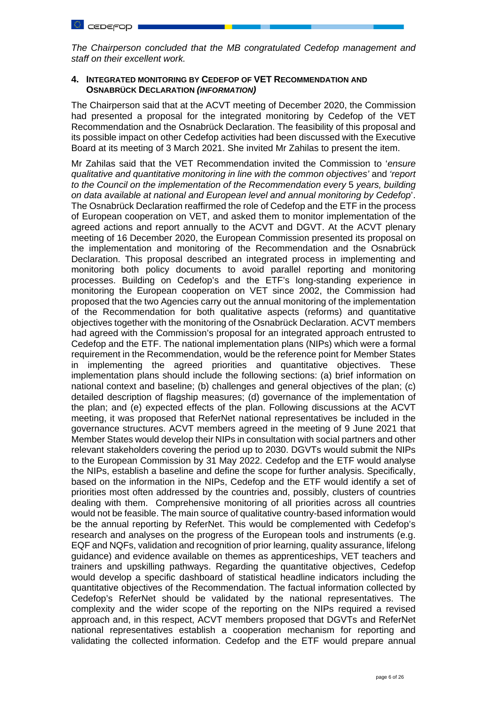*The Chairperson concluded that the MB congratulated Cedefop management and staff on their excellent work.* 

## **4. INTEGRATED MONITORING BY CEDEFOP OF VET RECOMMENDATION AND OSNABRÜCK DECLARATION** *(INFORMATION)*

The Chairperson said that at the ACVT meeting of December 2020, the Commission had presented a proposal for the integrated monitoring by Cedefop of the VET Recommendation and the Osnabrück Declaration. The feasibility of this proposal and its possible impact on other Cedefop activities had been discussed with the Executive Board at its meeting of 3 March 2021. She invited Mr Zahilas to present the item.

Mr Zahilas said that the VET Recommendation invited the Commission to '*ensure qualitative and quantitative monitoring in line with the common objectives'* and *'report to the Council on the implementation of the Recommendation every* 5 *years, building on data available at national and European level and annual monitoring by Cedefop*'. The Osnabrück Declaration reaffirmed the role of Cedefop and the ETF in the process of European cooperation on VET, and asked them to monitor implementation of the agreed actions and report annually to the ACVT and DGVT. At the ACVT plenary meeting of 16 December 2020, the European Commission presented its proposal on the implementation and monitoring of the Recommendation and the Osnabrück Declaration. This proposal described an integrated process in implementing and monitoring both policy documents to avoid parallel reporting and monitoring processes. Building on Cedefop's and the ETF's long-standing experience in monitoring the European cooperation on VET since 2002, the Commission had proposed that the two Agencies carry out the annual monitoring of the implementation of the Recommendation for both qualitative aspects (reforms) and quantitative objectives together with the monitoring of the Osnabrück Declaration. ACVT members had agreed with the Commission's proposal for an integrated approach entrusted to Cedefop and the ETF. The national implementation plans (NIPs) which were a formal requirement in the Recommendation, would be the reference point for Member States in implementing the agreed priorities and quantitative objectives. These implementation plans should include the following sections: (a) brief information on national context and baseline; (b) challenges and general objectives of the plan; (c) detailed description of flagship measures; (d) governance of the implementation of the plan; and (e) expected effects of the plan. Following discussions at the ACVT meeting, it was proposed that ReferNet national representatives be included in the governance structures. ACVT members agreed in the meeting of 9 June 2021 that Member States would develop their NIPs in consultation with social partners and other relevant stakeholders covering the period up to 2030. DGVTs would submit the NIPs to the European Commission by 31 May 2022. Cedefop and the ETF would analyse the NIPs, establish a baseline and define the scope for further analysis. Specifically, based on the information in the NIPs, Cedefop and the ETF would identify a set of priorities most often addressed by the countries and, possibly, clusters of countries dealing with them. Comprehensive monitoring of all priorities across all countries would not be feasible. The main source of qualitative country-based information would be the annual reporting by ReferNet. This would be complemented with Cedefop's research and analyses on the progress of the European tools and instruments (e.g. EQF and NQFs, validation and recognition of prior learning, quality assurance, lifelong guidance) and evidence available on themes as apprenticeships, VET teachers and trainers and upskilling pathways. Regarding the quantitative objectives, Cedefop would develop a specific dashboard of statistical headline indicators including the quantitative objectives of the Recommendation. The factual information collected by Cedefop's ReferNet should be validated by the national representatives. The complexity and the wider scope of the reporting on the NIPs required a revised approach and, in this respect, ACVT members proposed that DGVTs and ReferNet national representatives establish a cooperation mechanism for reporting and validating the collected information. Cedefop and the ETF would prepare annual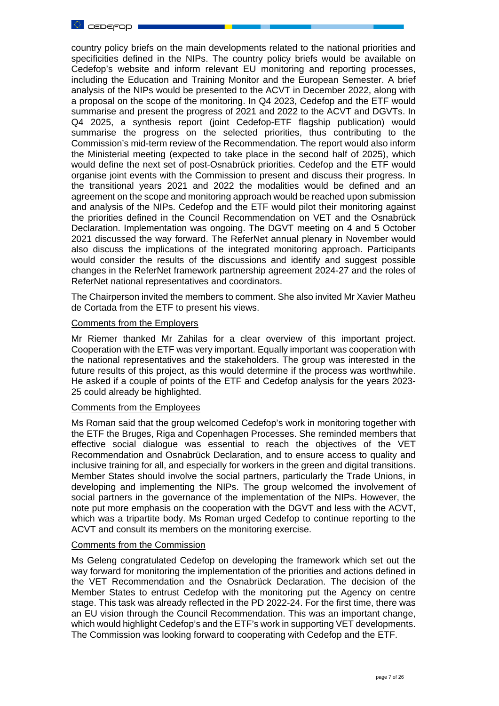

country policy briefs on the main developments related to the national priorities and specificities defined in the NIPs. The country policy briefs would be available on Cedefop's website and inform relevant EU monitoring and reporting processes, including the Education and Training Monitor and the European Semester. A brief analysis of the NIPs would be presented to the ACVT in December 2022, along with a proposal on the scope of the monitoring. In Q4 2023, Cedefop and the ETF would summarise and present the progress of 2021 and 2022 to the ACVT and DGVTs. In Q4 2025, a synthesis report (joint Cedefop-ETF flagship publication) would summarise the progress on the selected priorities, thus contributing to the Commission's mid-term review of the Recommendation. The report would also inform the Ministerial meeting (expected to take place in the second half of 2025), which would define the next set of post-Osnabrück priorities. Cedefop and the ETF would organise joint events with the Commission to present and discuss their progress. In the transitional years 2021 and 2022 the modalities would be defined and an agreement on the scope and monitoring approach would be reached upon submission and analysis of the NIPs. Cedefop and the ETF would pilot their monitoring against the priorities defined in the Council Recommendation on VET and the Osnabrück Declaration. Implementation was ongoing. The DGVT meeting on 4 and 5 October 2021 discussed the way forward. The ReferNet annual plenary in November would also discuss the implications of the integrated monitoring approach. Participants would consider the results of the discussions and identify and suggest possible changes in the ReferNet framework partnership agreement 2024-27 and the roles of ReferNet national representatives and coordinators.

The Chairperson invited the members to comment. She also invited Mr Xavier Matheu de Cortada from the ETF to present his views.

#### Comments from the Employers

Mr Riemer thanked Mr Zahilas for a clear overview of this important project. Cooperation with the ETF was very important. Equally important was cooperation with the national representatives and the stakeholders. The group was interested in the future results of this project, as this would determine if the process was worthwhile. He asked if a couple of points of the ETF and Cedefop analysis for the years 2023- 25 could already be highlighted.

## Comments from the Employees

Ms Roman said that the group welcomed Cedefop's work in monitoring together with the ETF the Bruges, Riga and Copenhagen Processes. She reminded members that effective social dialogue was essential to reach the objectives of the VET Recommendation and Osnabrück Declaration, and to ensure access to quality and inclusive training for all, and especially for workers in the green and digital transitions. Member States should involve the social partners, particularly the Trade Unions, in developing and implementing the NIPs. The group welcomed the involvement of social partners in the governance of the implementation of the NIPs. However, the note put more emphasis on the cooperation with the DGVT and less with the ACVT, which was a tripartite body. Ms Roman urged Cedefop to continue reporting to the ACVT and consult its members on the monitoring exercise.

#### Comments from the Commission

Ms Geleng congratulated Cedefop on developing the framework which set out the way forward for monitoring the implementation of the priorities and actions defined in the VET Recommendation and the Osnabrück Declaration. The decision of the Member States to entrust Cedefop with the monitoring put the Agency on centre stage. This task was already reflected in the PD 2022-24. For the first time, there was an EU vision through the Council Recommendation. This was an important change, which would highlight Cedefop's and the ETF's work in supporting VET developments. The Commission was looking forward to cooperating with Cedefop and the ETF.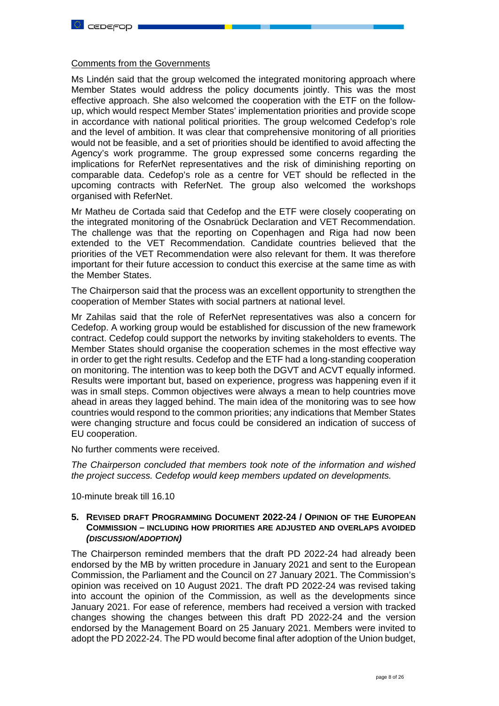#### Comments from the Governments

Ms Lindén said that the group welcomed the integrated monitoring approach where Member States would address the policy documents jointly. This was the most effective approach. She also welcomed the cooperation with the ETF on the followup, which would respect Member States' implementation priorities and provide scope in accordance with national political priorities. The group welcomed Cedefop's role and the level of ambition. It was clear that comprehensive monitoring of all priorities would not be feasible, and a set of priorities should be identified to avoid affecting the Agency's work programme. The group expressed some concerns regarding the implications for ReferNet representatives and the risk of diminishing reporting on comparable data. Cedefop's role as a centre for VET should be reflected in the upcoming contracts with ReferNet. The group also welcomed the workshops organised with ReferNet.

Mr Matheu de Cortada said that Cedefop and the ETF were closely cooperating on the integrated monitoring of the Osnabrück Declaration and VET Recommendation. The challenge was that the reporting on Copenhagen and Riga had now been extended to the VET Recommendation. Candidate countries believed that the priorities of the VET Recommendation were also relevant for them. It was therefore important for their future accession to conduct this exercise at the same time as with the Member States.

The Chairperson said that the process was an excellent opportunity to strengthen the cooperation of Member States with social partners at national level.

Mr Zahilas said that the role of ReferNet representatives was also a concern for Cedefop. A working group would be established for discussion of the new framework contract. Cedefop could support the networks by inviting stakeholders to events. The Member States should organise the cooperation schemes in the most effective way in order to get the right results. Cedefop and the ETF had a long-standing cooperation on monitoring. The intention was to keep both the DGVT and ACVT equally informed. Results were important but, based on experience, progress was happening even if it was in small steps. Common objectives were always a mean to help countries move ahead in areas they lagged behind. The main idea of the monitoring was to see how countries would respond to the common priorities; any indications that Member States were changing structure and focus could be considered an indication of success of EU cooperation.

No further comments were received.

*The Chairperson concluded that members took note of the information and wished the project success. Cedefop would keep members updated on developments.* 

10-minute break till 16.10

## **5. REVISED DRAFT PROGRAMMING DOCUMENT 2022-24 / OPINION OF THE EUROPEAN COMMISSION – INCLUDING HOW PRIORITIES ARE ADJUSTED AND OVERLAPS AVOIDED** *(DISCUSSION/ADOPTION)*

The Chairperson reminded members that the draft PD 2022-24 had already been endorsed by the MB by written procedure in January 2021 and sent to the European Commission, the Parliament and the Council on 27 January 2021. The Commission's opinion was received on 10 August 2021. The draft PD 2022-24 was revised taking into account the opinion of the Commission, as well as the developments since January 2021. For ease of reference, members had received a version with tracked changes showing the changes between this draft PD 2022-24 and the version endorsed by the Management Board on 25 January 2021. Members were invited to adopt the PD 2022-24. The PD would become final after adoption of the Union budget,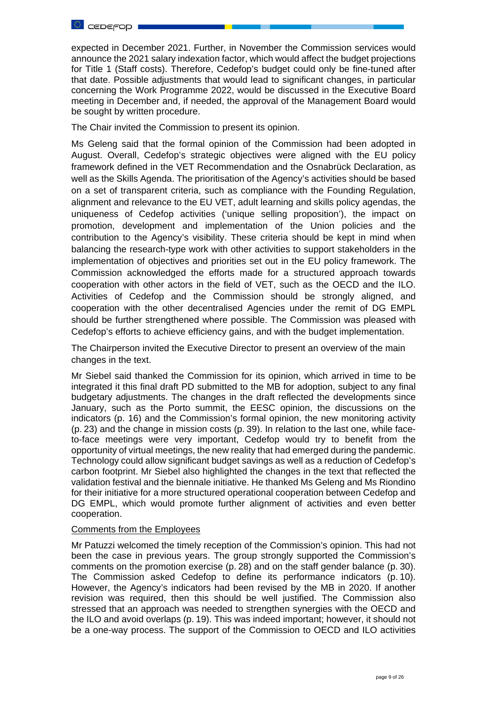

expected in December 2021. Further, in November the Commission services would announce the 2021 salary indexation factor, which would affect the budget projections for Title 1 (Staff costs). Therefore, Cedefop's budget could only be fine-tuned after that date. Possible adjustments that would lead to significant changes, in particular concerning the Work Programme 2022, would be discussed in the Executive Board meeting in December and, if needed, the approval of the Management Board would be sought by written procedure.

The Chair invited the Commission to present its opinion.

Ms Geleng said that the formal opinion of the Commission had been adopted in August. Overall, Cedefop's strategic objectives were aligned with the EU policy framework defined in the VET Recommendation and the Osnabrück Declaration, as well as the Skills Agenda. The prioritisation of the Agency's activities should be based on a set of transparent criteria, such as compliance with the Founding Regulation, alignment and relevance to the EU VET, adult learning and skills policy agendas, the uniqueness of Cedefop activities ('unique selling proposition'), the impact on promotion, development and implementation of the Union policies and the contribution to the Agency's visibility. These criteria should be kept in mind when balancing the research-type work with other activities to support stakeholders in the implementation of objectives and priorities set out in the EU policy framework. The Commission acknowledged the efforts made for a structured approach towards cooperation with other actors in the field of VET, such as the OECD and the ILO. Activities of Cedefop and the Commission should be strongly aligned, and cooperation with the other decentralised Agencies under the remit of DG EMPL should be further strengthened where possible. The Commission was pleased with Cedefop's efforts to achieve efficiency gains, and with the budget implementation.

The Chairperson invited the Executive Director to present an overview of the main changes in the text.

Mr Siebel said thanked the Commission for its opinion, which arrived in time to be integrated it this final draft PD submitted to the MB for adoption, subject to any final budgetary adjustments. The changes in the draft reflected the developments since January, such as the Porto summit, the EESC opinion, the discussions on the indicators (p. 16) and the Commission's formal opinion, the new monitoring activity (p. 23) and the change in mission costs (p. 39). In relation to the last one, while faceto-face meetings were very important, Cedefop would try to benefit from the opportunity of virtual meetings, the new reality that had emerged during the pandemic. Technology could allow significant budget savings as well as a reduction of Cedefop's carbon footprint. Mr Siebel also highlighted the changes in the text that reflected the validation festival and the biennale initiative. He thanked Ms Geleng and Ms Riondino for their initiative for a more structured operational cooperation between Cedefop and DG EMPL, which would promote further alignment of activities and even better cooperation.

## Comments from the Employees

Mr Patuzzi welcomed the timely reception of the Commission's opinion. This had not been the case in previous years. The group strongly supported the Commission's comments on the promotion exercise (p. 28) and on the staff gender balance (p. 30). The Commission asked Cedefop to define its performance indicators (p. 10). However, the Agency's indicators had been revised by the MB in 2020. If another revision was required, then this should be well justified. The Commission also stressed that an approach was needed to strengthen synergies with the OECD and the ILO and avoid overlaps (p. 19). This was indeed important; however, it should not be a one-way process. The support of the Commission to OECD and ILO activities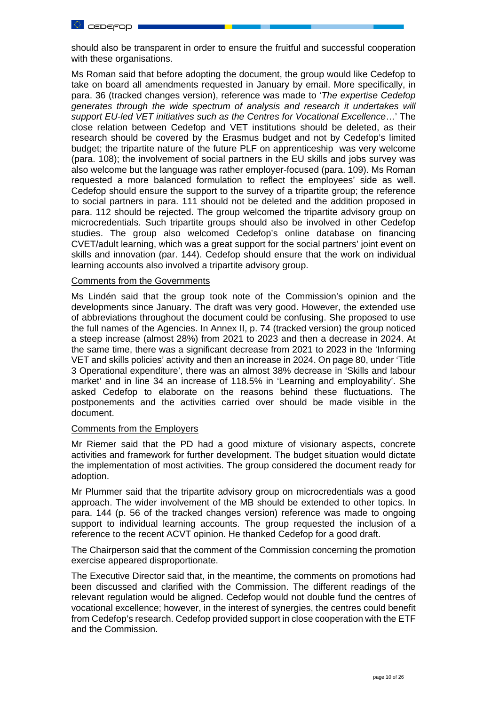

should also be transparent in order to ensure the fruitful and successful cooperation with these organisations.

Ms Roman said that before adopting the document, the group would like Cedefop to take on board all amendments requested in January by email. More specifically, in para. 36 (tracked changes version), reference was made to '*The expertise Cedefop generates through the wide spectrum of analysis and research it undertakes will support EU-led VET initiatives such as the Centres for Vocational Excellence*…' The close relation between Cedefop and VET institutions should be deleted, as their research should be covered by the Erasmus budget and not by Cedefop's limited budget; the tripartite nature of the future PLF on apprenticeship was very welcome (para. 108); the involvement of social partners in the EU skills and jobs survey was also welcome but the language was rather employer-focused (para. 109). Ms Roman requested a more balanced formulation to reflect the employees' side as well. Cedefop should ensure the support to the survey of a tripartite group; the reference to social partners in para. 111 should not be deleted and the addition proposed in para. 112 should be rejected. The group welcomed the tripartite advisory group on microcredentials. Such tripartite groups should also be involved in other Cedefop studies. The group also welcomed Cedefop's online database on financing CVET/adult learning, which was a great support for the social partners' joint event on skills and innovation (par. 144). Cedefop should ensure that the work on individual learning accounts also involved a tripartite advisory group.

### Comments from the Governments

Ms Lindén said that the group took note of the Commission's opinion and the developments since January. The draft was very good. However, the extended use of abbreviations throughout the document could be confusing. She proposed to use the full names of the Agencies. In Annex II, p. 74 (tracked version) the group noticed a steep increase (almost 28%) from 2021 to 2023 and then a decrease in 2024. At the same time, there was a significant decrease from 2021 to 2023 in the 'Informing VET and skills policies' activity and then an increase in 2024. On page 80, under 'Title 3 Operational expenditure', there was an almost 38% decrease in 'Skills and labour market' and in line 34 an increase of 118.5% in 'Learning and employability'. She asked Cedefop to elaborate on the reasons behind these fluctuations. The postponements and the activities carried over should be made visible in the document.

#### Comments from the Employers

Mr Riemer said that the PD had a good mixture of visionary aspects, concrete activities and framework for further development. The budget situation would dictate the implementation of most activities. The group considered the document ready for adoption.

Mr Plummer said that the tripartite advisory group on microcredentials was a good approach. The wider involvement of the MB should be extended to other topics. In para. 144 (p. 56 of the tracked changes version) reference was made to ongoing support to individual learning accounts. The group requested the inclusion of a reference to the recent ACVT opinion. He thanked Cedefop for a good draft.

The Chairperson said that the comment of the Commission concerning the promotion exercise appeared disproportionate.

The Executive Director said that, in the meantime, the comments on promotions had been discussed and clarified with the Commission. The different readings of the relevant regulation would be aligned. Cedefop would not double fund the centres of vocational excellence; however, in the interest of synergies, the centres could benefit from Cedefop's research. Cedefop provided support in close cooperation with the ETF and the Commission.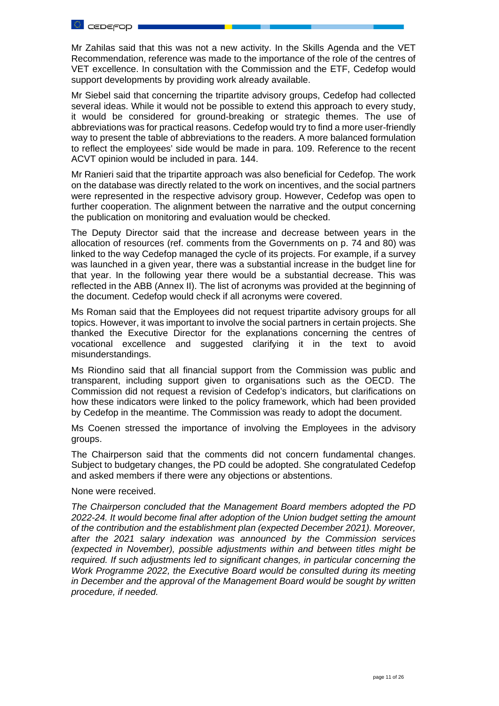

Mr Zahilas said that this was not a new activity. In the Skills Agenda and the VET Recommendation, reference was made to the importance of the role of the centres of VET excellence. In consultation with the Commission and the ETF, Cedefop would support developments by providing work already available.

Mr Siebel said that concerning the tripartite advisory groups, Cedefop had collected several ideas. While it would not be possible to extend this approach to every study, it would be considered for ground-breaking or strategic themes. The use of abbreviations was for practical reasons. Cedefop would try to find a more user-friendly way to present the table of abbreviations to the readers. A more balanced formulation to reflect the employees' side would be made in para. 109. Reference to the recent ACVT opinion would be included in para. 144.

Mr Ranieri said that the tripartite approach was also beneficial for Cedefop. The work on the database was directly related to the work on incentives, and the social partners were represented in the respective advisory group. However, Cedefop was open to further cooperation. The alignment between the narrative and the output concerning the publication on monitoring and evaluation would be checked.

The Deputy Director said that the increase and decrease between years in the allocation of resources (ref. comments from the Governments on p. 74 and 80) was linked to the way Cedefop managed the cycle of its projects. For example, if a survey was launched in a given year, there was a substantial increase in the budget line for that year. In the following year there would be a substantial decrease. This was reflected in the ABB (Annex II). The list of acronyms was provided at the beginning of the document. Cedefop would check if all acronyms were covered.

Ms Roman said that the Employees did not request tripartite advisory groups for all topics. However, it was important to involve the social partners in certain projects. She thanked the Executive Director for the explanations concerning the centres of vocational excellence and suggested clarifying it in the text to avoid misunderstandings.

Ms Riondino said that all financial support from the Commission was public and transparent, including support given to organisations such as the OECD. The Commission did not request a revision of Cedefop's indicators, but clarifications on how these indicators were linked to the policy framework, which had been provided by Cedefop in the meantime. The Commission was ready to adopt the document.

Ms Coenen stressed the importance of involving the Employees in the advisory groups.

The Chairperson said that the comments did not concern fundamental changes. Subject to budgetary changes, the PD could be adopted. She congratulated Cedefop and asked members if there were any objections or abstentions.

#### None were received.

*The Chairperson concluded that the Management Board members adopted the PD 2022-24. It would become final after adoption of the Union budget setting the amount of the contribution and the establishment plan (expected December 2021). Moreover, after the 2021 salary indexation was announced by the Commission services (expected in November), possible adjustments within and between titles might be required. If such adjustments led to significant changes, in particular concerning the Work Programme 2022, the Executive Board would be consulted during its meeting in December and the approval of the Management Board would be sought by written procedure, if needed.*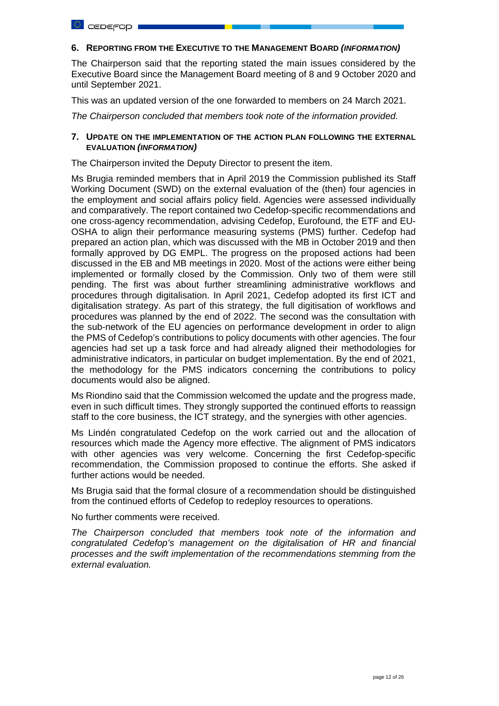## **6. REPORTING FROM THE EXECUTIVE TO THE MANAGEMENT BOARD** *(INFORMATION)*

The Chairperson said that the reporting stated the main issues considered by the Executive Board since the Management Board meeting of 8 and 9 October 2020 and until September 2021.

This was an updated version of the one forwarded to members on 24 March 2021.

*The Chairperson concluded that members took note of the information provided.*

## **7. UPDATE ON THE IMPLEMENTATION OF THE ACTION PLAN FOLLOWING THE EXTERNAL EVALUATION** *(INFORMATION)*

The Chairperson invited the Deputy Director to present the item.

Ms Brugia reminded members that in April 2019 the Commission published its Staff Working Document (SWD) on the external evaluation of the (then) four agencies in the employment and social affairs policy field. Agencies were assessed individually and comparatively. The report contained two Cedefop-specific recommendations and one cross-agency recommendation, advising Cedefop, Eurofound, the ETF and EU-OSHA to align their performance measuring systems (PMS) further. Cedefop had prepared an action plan, which was discussed with the MB in October 2019 and then formally approved by DG EMPL. The progress on the proposed actions had been discussed in the EB and MB meetings in 2020. Most of the actions were either being implemented or formally closed by the Commission. Only two of them were still pending. The first was about further streamlining administrative workflows and procedures through digitalisation. In April 2021, Cedefop adopted its first ICT and digitalisation strategy. As part of this strategy, the full digitisation of workflows and procedures was planned by the end of 2022. The second was the consultation with the sub-network of the EU agencies on performance development in order to align the PMS of Cedefop's contributions to policy documents with other agencies. The four agencies had set up a task force and had already aligned their methodologies for administrative indicators, in particular on budget implementation. By the end of 2021, the methodology for the PMS indicators concerning the contributions to policy documents would also be aligned.

Ms Riondino said that the Commission welcomed the update and the progress made, even in such difficult times. They strongly supported the continued efforts to reassign staff to the core business, the ICT strategy, and the synergies with other agencies.

Ms Lindén congratulated Cedefop on the work carried out and the allocation of resources which made the Agency more effective. The alignment of PMS indicators with other agencies was very welcome. Concerning the first Cedefop-specific recommendation, the Commission proposed to continue the efforts. She asked if further actions would be needed.

Ms Brugia said that the formal closure of a recommendation should be distinguished from the continued efforts of Cedefop to redeploy resources to operations.

No further comments were received.

*The Chairperson concluded that members took note of the information and congratulated Cedefop's management on the digitalisation of HR and financial processes and the swift implementation of the recommendations stemming from the external evaluation.*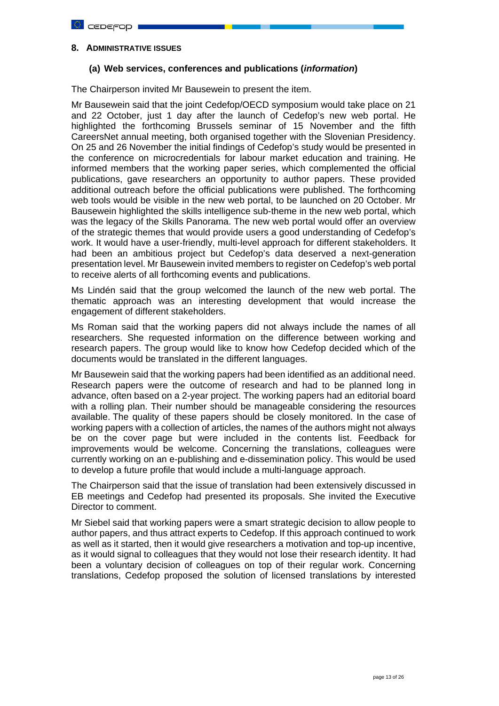## **8. ADMINISTRATIVE ISSUES**

# **(a) Web services, conferences and publications (***information***)**

The Chairperson invited Mr Bausewein to present the item.

Mr Bausewein said that the joint Cedefop/OECD symposium would take place on 21 and 22 October, just 1 day after the launch of Cedefop's new web portal. He highlighted the forthcoming Brussels seminar of 15 November and the fifth CareersNet annual meeting, both organised together with the Slovenian Presidency. On 25 and 26 November the initial findings of Cedefop's study would be presented in the conference on microcredentials for labour market education and training. He informed members that the working paper series, which complemented the official publications, gave researchers an opportunity to author papers. These provided additional outreach before the official publications were published. The forthcoming web tools would be visible in the new web portal, to be launched on 20 October. Mr Bausewein highlighted the skills intelligence sub-theme in the new web portal, which was the legacy of the Skills Panorama. The new web portal would offer an overview of the strategic themes that would provide users a good understanding of Cedefop's work. It would have a user-friendly, multi-level approach for different stakeholders. It had been an ambitious project but Cedefop's data deserved a next-generation presentation level. Mr Bausewein invited members to register on Cedefop's web portal to receive alerts of all forthcoming events and publications.

Ms Lindén said that the group welcomed the launch of the new web portal. The thematic approach was an interesting development that would increase the engagement of different stakeholders.

Ms Roman said that the working papers did not always include the names of all researchers. She requested information on the difference between working and research papers. The group would like to know how Cedefop decided which of the documents would be translated in the different languages.

Mr Bausewein said that the working papers had been identified as an additional need. Research papers were the outcome of research and had to be planned long in advance, often based on a 2-year project. The working papers had an editorial board with a rolling plan. Their number should be manageable considering the resources available. The quality of these papers should be closely monitored. In the case of working papers with a collection of articles, the names of the authors might not always be on the cover page but were included in the contents list. Feedback for improvements would be welcome. Concerning the translations, colleagues were currently working on an e-publishing and e-dissemination policy. This would be used to develop a future profile that would include a multi-language approach.

The Chairperson said that the issue of translation had been extensively discussed in EB meetings and Cedefop had presented its proposals. She invited the Executive Director to comment.

Mr Siebel said that working papers were a smart strategic decision to allow people to author papers, and thus attract experts to Cedefop. If this approach continued to work as well as it started, then it would give researchers a motivation and top-up incentive, as it would signal to colleagues that they would not lose their research identity. It had been a voluntary decision of colleagues on top of their regular work. Concerning translations, Cedefop proposed the solution of licensed translations by interested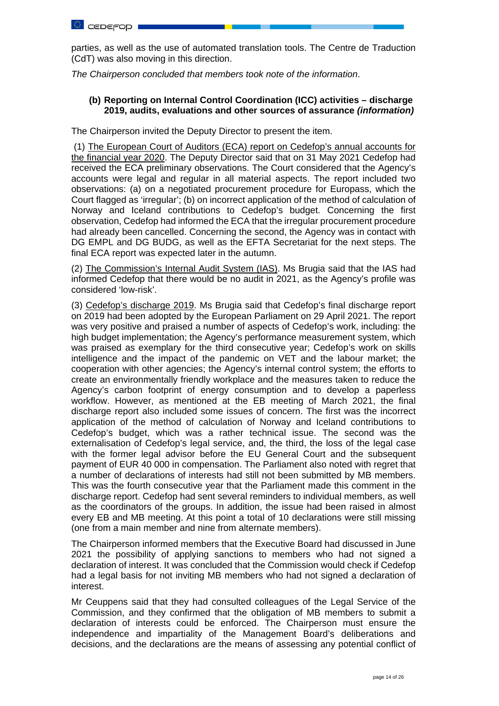

parties, as well as the use of automated translation tools. The Centre de Traduction (CdT) was also moving in this direction.

*The Chairperson concluded that members took note of the information*.

# **(b) Reporting on Internal Control Coordination (ICC) activities – discharge 2019, audits, evaluations and other sources of assurance** *(information)*

The Chairperson invited the Deputy Director to present the item.

(1) The European Court of Auditors (ECA) report on Cedefop's annual accounts for the financial year 2020. The Deputy Director said that on 31 May 2021 Cedefop had received the ECA preliminary observations. The Court considered that the Agency's accounts were legal and regular in all material aspects. The report included two observations: (a) on a negotiated procurement procedure for Europass, which the Court flagged as 'irregular'; (b) on incorrect application of the method of calculation of Norway and Iceland contributions to Cedefop's budget. Concerning the first observation, Cedefop had informed the ECA that the irregular procurement procedure had already been cancelled. Concerning the second, the Agency was in contact with DG EMPL and DG BUDG, as well as the EFTA Secretariat for the next steps. The final ECA report was expected later in the autumn.

(2) The Commission's Internal Audit System (IAS). Ms Brugia said that the IAS had informed Cedefop that there would be no audit in 2021, as the Agency's profile was considered 'low-risk'.

(3) Cedefop's discharge 2019. Ms Brugia said that Cedefop's final discharge report on 2019 had been adopted by the European Parliament on 29 April 2021. The report was very positive and praised a number of aspects of Cedefop's work, including: the high budget implementation; the Agency's performance measurement system, which was praised as exemplary for the third consecutive year; Cedefop's work on skills intelligence and the impact of the pandemic on VET and the labour market; the cooperation with other agencies; the Agency's internal control system; the efforts to create an environmentally friendly workplace and the measures taken to reduce the Agency's carbon footprint of energy consumption and to develop a paperless workflow. However, as mentioned at the EB meeting of March 2021, the final discharge report also included some issues of concern. The first was the incorrect application of the method of calculation of Norway and Iceland contributions to Cedefop's budget, which was a rather technical issue. The second was the externalisation of Cedefop's legal service, and, the third, the loss of the legal case with the former legal advisor before the EU General Court and the subsequent payment of EUR 40 000 in compensation. The Parliament also noted with regret that a number of declarations of interests had still not been submitted by MB members. This was the fourth consecutive year that the Parliament made this comment in the discharge report. Cedefop had sent several reminders to individual members, as well as the coordinators of the groups. In addition, the issue had been raised in almost every EB and MB meeting. At this point a total of 10 declarations were still missing (one from a main member and nine from alternate members).

The Chairperson informed members that the Executive Board had discussed in June 2021 the possibility of applying sanctions to members who had not signed a declaration of interest. It was concluded that the Commission would check if Cedefop had a legal basis for not inviting MB members who had not signed a declaration of interest.

Mr Ceuppens said that they had consulted colleagues of the Legal Service of the Commission, and they confirmed that the obligation of MB members to submit a declaration of interests could be enforced. The Chairperson must ensure the independence and impartiality of the Management Board's deliberations and decisions, and the declarations are the means of assessing any potential conflict of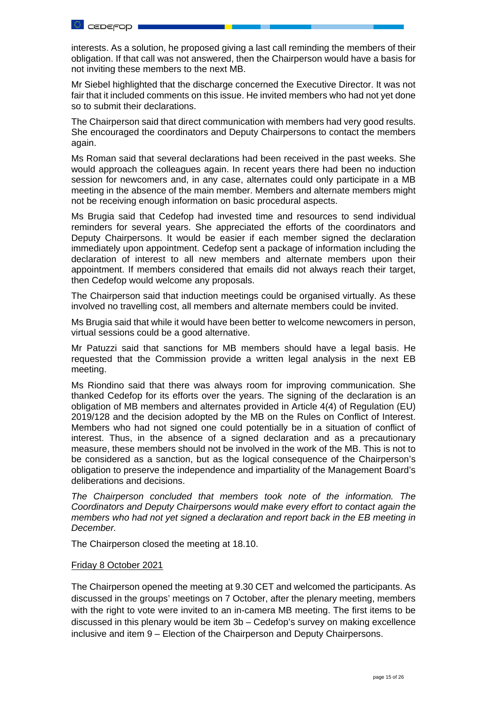

interests. As a solution, he proposed giving a last call reminding the members of their obligation. If that call was not answered, then the Chairperson would have a basis for not inviting these members to the next MB.

Mr Siebel highlighted that the discharge concerned the Executive Director. It was not fair that it included comments on this issue. He invited members who had not yet done so to submit their declarations.

The Chairperson said that direct communication with members had very good results. She encouraged the coordinators and Deputy Chairpersons to contact the members again.

Ms Roman said that several declarations had been received in the past weeks. She would approach the colleagues again. In recent years there had been no induction session for newcomers and, in any case, alternates could only participate in a MB meeting in the absence of the main member. Members and alternate members might not be receiving enough information on basic procedural aspects.

Ms Brugia said that Cedefop had invested time and resources to send individual reminders for several years. She appreciated the efforts of the coordinators and Deputy Chairpersons. It would be easier if each member signed the declaration immediately upon appointment. Cedefop sent a package of information including the declaration of interest to all new members and alternate members upon their appointment. If members considered that emails did not always reach their target, then Cedefop would welcome any proposals.

The Chairperson said that induction meetings could be organised virtually. As these involved no travelling cost, all members and alternate members could be invited.

Ms Brugia said that while it would have been better to welcome newcomers in person, virtual sessions could be a good alternative.

Mr Patuzzi said that sanctions for MB members should have a legal basis. He requested that the Commission provide a written legal analysis in the next EB meeting.

Ms Riondino said that there was always room for improving communication. She thanked Cedefop for its efforts over the years. The signing of the declaration is an obligation of MB members and alternates provided in Article 4(4) of Regulation (EU) 2019/128 and the decision adopted by the MB on the Rules on Conflict of Interest. Members who had not signed one could potentially be in a situation of conflict of interest. Thus, in the absence of a signed declaration and as a precautionary measure, these members should not be involved in the work of the MB. This is not to be considered as a sanction, but as the logical consequence of the Chairperson's obligation to preserve the independence and impartiality of the Management Board's deliberations and decisions.

*The Chairperson concluded that members took note of the information. The Coordinators and Deputy Chairpersons would make every effort to contact again the members who had not yet signed a declaration and report back in the EB meeting in December.* 

The Chairperson closed the meeting at 18.10.

## Friday 8 October 2021

The Chairperson opened the meeting at 9.30 CET and welcomed the participants. As discussed in the groups' meetings on 7 October, after the plenary meeting, members with the right to vote were invited to an in-camera MB meeting. The first items to be discussed in this plenary would be item 3b – Cedefop's survey on making excellence inclusive and item 9 – Election of the Chairperson and Deputy Chairpersons.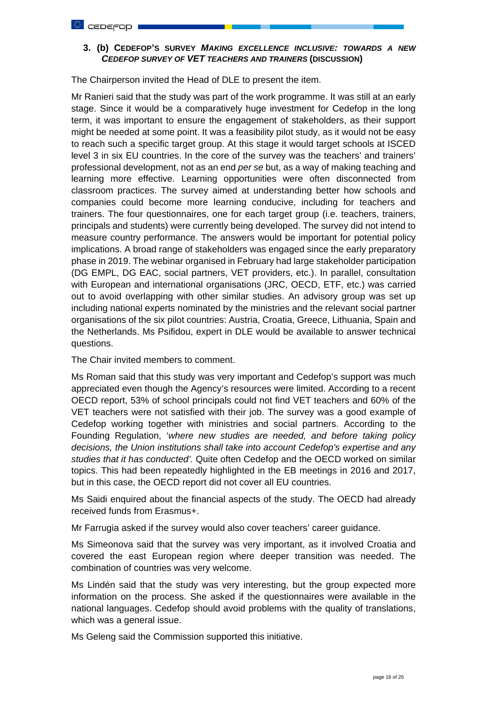# **3. (b) CEDEFOP'S SURVEY** *MAKING EXCELLENCE INCLUSIVE: TOWARDS A NEW CEDEFOP SURVEY OF VET TEACHERS AND TRAINERS* **(DISCUSSION)**

The Chairperson invited the Head of DLE to present the item.

Mr Ranieri said that the study was part of the work programme. It was still at an early stage. Since it would be a comparatively huge investment for Cedefop in the long term, it was important to ensure the engagement of stakeholders, as their support might be needed at some point. It was a feasibility pilot study, as it would not be easy to reach such a specific target group. At this stage it would target schools at ISCED level 3 in six EU countries. In the core of the survey was the teachers' and trainers' professional development, not as an end *per se* but, as a way of making teaching and learning more effective. Learning opportunities were often disconnected from classroom practices. The survey aimed at understanding better how schools and companies could become more learning conducive, including for teachers and trainers. The four questionnaires, one for each target group (i.e. teachers, trainers, principals and students) were currently being developed. The survey did not intend to measure country performance. The answers would be important for potential policy implications. A broad range of stakeholders was engaged since the early preparatory phase in 2019. The webinar organised in February had large stakeholder participation (DG EMPL, DG EAC, social partners, VET providers, etc.). In parallel, consultation with European and international organisations (JRC, OECD, ETF, etc.) was carried out to avoid overlapping with other similar studies. An advisory group was set up including national experts nominated by the ministries and the relevant social partner organisations of the six pilot countries: Austria, Croatia, Greece, Lithuania, Spain and the Netherlands. Ms Psifidou, expert in DLE would be available to answer technical questions.

The Chair invited members to comment.

Ms Roman said that this study was very important and Cedefop's support was much appreciated even though the Agency's resources were limited. According to a recent OECD report, 53% of school principals could not find VET teachers and 60% of the VET teachers were not satisfied with their job. The survey was a good example of Cedefop working together with ministries and social partners. According to the Founding Regulation, '*where new studies are needed, and before taking policy decisions, the Union institutions shall take into account Cedefop's expertise and any studies that it has conducted'.* Quite often Cedefop and the OECD worked on similar topics. This had been repeatedly highlighted in the EB meetings in 2016 and 2017, but in this case, the OECD report did not cover all EU countries.

Ms Saidi enquired about the financial aspects of the study. The OECD had already received funds from Erasmus+.

Mr Farrugia asked if the survey would also cover teachers' career guidance.

Ms Simeonova said that the survey was very important, as it involved Croatia and covered the east European region where deeper transition was needed. The combination of countries was very welcome.

Ms Lindén said that the study was very interesting, but the group expected more information on the process. She asked if the questionnaires were available in the national languages. Cedefop should avoid problems with the quality of translations, which was a general issue.

Ms Geleng said the Commission supported this initiative.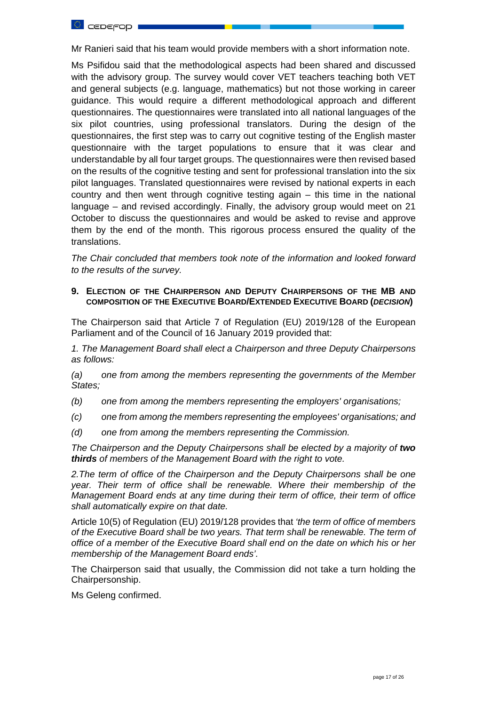

Mr Ranieri said that his team would provide members with a short information note.

Ms Psifidou said that the methodological aspects had been shared and discussed with the advisory group. The survey would cover VET teachers teaching both VET and general subjects (e.g. language, mathematics) but not those working in career guidance. This would require a different methodological approach and different questionnaires. The questionnaires were translated into all national languages of the six pilot countries, using professional translators. During the design of the questionnaires, the first step was to carry out cognitive testing of the English master questionnaire with the target populations to ensure that it was clear and understandable by all four target groups. The questionnaires were then revised based on the results of the cognitive testing and sent for professional translation into the six pilot languages. Translated questionnaires were revised by national experts in each country and then went through cognitive testing again – this time in the national language – and revised accordingly. Finally, the advisory group would meet on 21 October to discuss the questionnaires and would be asked to revise and approve them by the end of the month. This rigorous process ensured the quality of the translations.

*The Chair concluded that members took note of the information and looked forward to the results of the survey.* 

## **9. ELECTION OF THE CHAIRPERSON AND DEPUTY CHAIRPERSONS OF THE MB AND COMPOSITION OF THE EXECUTIVE BOARD/EXTENDED EXECUTIVE BOARD (***DECISION***)**

The Chairperson said that Article 7 of Regulation (EU) 2019/128 of the European Parliament and of the Council of 16 January 2019 provided that:

*1. The Management Board shall elect a Chairperson and three Deputy Chairpersons as follows:*

*(a) one from among the members representing the governments of the Member States;* 

*(b) one from among the members representing the employers' organisations;* 

- *(c) one from among the members representing the employees' organisations; and*
- *(d) one from among the members representing the Commission.*

*The Chairperson and the Deputy Chairpersons shall be elected by a majority of two thirds of members of the Management Board with the right to vote.* 

*2.The term of office of the Chairperson and the Deputy Chairpersons shall be one year. Their term of office shall be renewable. Where their membership of the Management Board ends at any time during their term of office, their term of office shall automatically expire on that date.*

Article 10(5) of Regulation (EU) 2019/128 provides that *'the term of office of members of the Executive Board shall be two years. That term shall be renewable. The term of office of a member of the Executive Board shall end on the date on which his or her membership of the Management Board ends'.*

The Chairperson said that usually, the Commission did not take a turn holding the Chairpersonship.

Ms Geleng confirmed.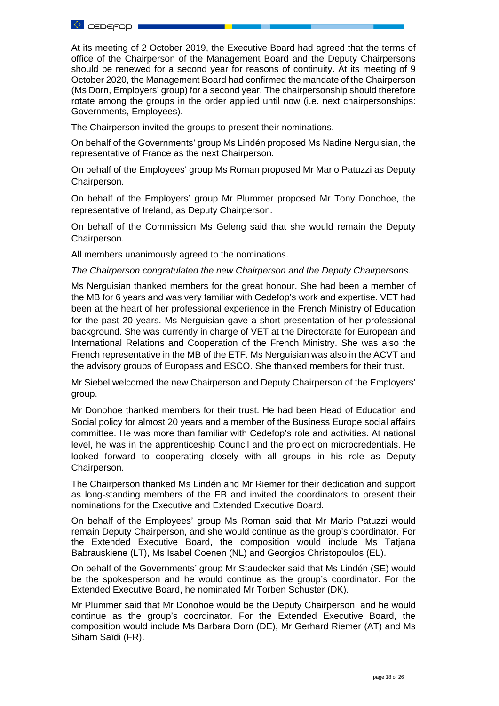

At its meeting of 2 October 2019, the Executive Board had agreed that the terms of office of the Chairperson of the Management Board and the Deputy Chairpersons should be renewed for a second year for reasons of continuity. At its meeting of 9 October 2020, the Management Board had confirmed the mandate of the Chairperson (Ms Dorn, Employers' group) for a second year. The chairpersonship should therefore rotate among the groups in the order applied until now (i.e. next chairpersonships: Governments, Employees).

The Chairperson invited the groups to present their nominations.

On behalf of the Governments' group Ms Lindén proposed Ms Nadine Nerguisian, the representative of France as the next Chairperson.

On behalf of the Employees' group Ms Roman proposed Mr Mario Patuzzi as Deputy Chairperson.

On behalf of the Employers' group Mr Plummer proposed Mr Tony Donohoe, the representative of Ireland, as Deputy Chairperson.

On behalf of the Commission Ms Geleng said that she would remain the Deputy Chairperson.

All members unanimously agreed to the nominations.

*The Chairperson congratulated the new Chairperson and the Deputy Chairpersons.* 

Ms Nerguisian thanked members for the great honour. She had been a member of the MB for 6 years and was very familiar with Cedefop's work and expertise. VET had been at the heart of her professional experience in the French Ministry of Education for the past 20 years. Ms Nerguisian gave a short presentation of her professional background. She was currently in charge of VET at the Directorate for European and International Relations and Cooperation of the French Ministry. She was also the French representative in the MB of the ETF. Ms Nerguisian was also in the ACVT and the advisory groups of Europass and ESCO. She thanked members for their trust.

Mr Siebel welcomed the new Chairperson and Deputy Chairperson of the Employers' group.

Mr Donohoe thanked members for their trust. He had been Head of Education and Social policy for almost 20 years and a member of the Business Europe social affairs committee. He was more than familiar with Cedefop's role and activities. At national level, he was in the apprenticeship Council and the project on microcredentials. He looked forward to cooperating closely with all groups in his role as Deputy Chairperson.

The Chairperson thanked Ms Lindén and Mr Riemer for their dedication and support as long-standing members of the EB and invited the coordinators to present their nominations for the Executive and Extended Executive Board.

On behalf of the Employees' group Ms Roman said that Mr Mario Patuzzi would remain Deputy Chairperson, and she would continue as the group's coordinator. For the Extended Executive Board, the composition would include Ms Tatjana Babrauskiene (LT), Ms Isabel Coenen (NL) and Georgios Christopoulos (EL).

On behalf of the Governments' group Mr Staudecker said that Ms Lindén (SE) would be the spokesperson and he would continue as the group's coordinator. For the Extended Executive Board, he nominated Mr Torben Schuster (DK).

Mr Plummer said that Mr Donohoe would be the Deputy Chairperson, and he would continue as the group's coordinator. For the Extended Executive Board, the composition would include Ms Barbara Dorn (DE), Mr Gerhard Riemer (AT) and Ms Siham Saïdi (FR).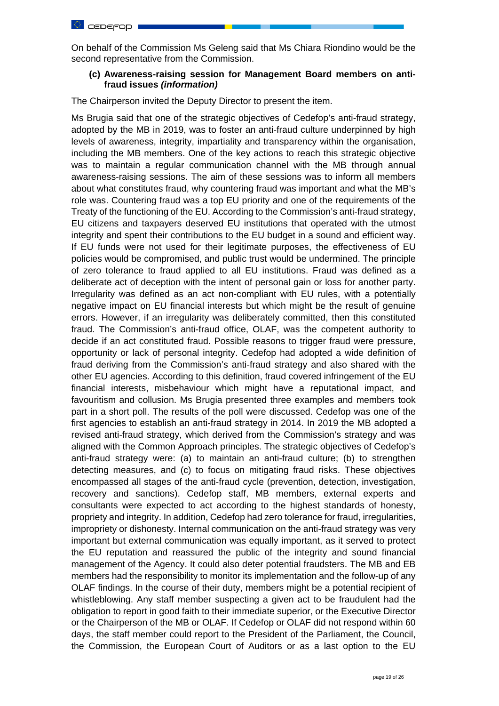

On behalf of the Commission Ms Geleng said that Ms Chiara Riondino would be the second representative from the Commission.

## **(c) Awareness-raising session for Management Board members on antifraud issues** *(information)*

The Chairperson invited the Deputy Director to present the item.

Ms Brugia said that one of the strategic objectives of Cedefop's anti-fraud strategy, adopted by the MB in 2019, was to foster an anti-fraud culture underpinned by high levels of awareness, integrity, impartiality and transparency within the organisation, including the MB members. One of the key actions to reach this strategic objective was to maintain a regular communication channel with the MB through annual awareness-raising sessions. The aim of these sessions was to inform all members about what constitutes fraud, why countering fraud was important and what the MB's role was. Countering fraud was a top EU priority and one of the requirements of the Treaty of the functioning of the EU. According to the Commission's anti-fraud strategy, EU citizens and taxpayers deserved EU institutions that operated with the utmost integrity and spent their contributions to the EU budget in a sound and efficient way. If EU funds were not used for their legitimate purposes, the effectiveness of EU policies would be compromised, and public trust would be undermined. The principle of zero tolerance to fraud applied to all EU institutions. Fraud was defined as a deliberate act of deception with the intent of personal gain or loss for another party. Irregularity was defined as an act non-compliant with EU rules, with a potentially negative impact on EU financial interests but which might be the result of genuine errors. However, if an irregularity was deliberately committed, then this constituted fraud. The Commission's anti-fraud office, OLAF, was the competent authority to decide if an act constituted fraud. Possible reasons to trigger fraud were pressure, opportunity or lack of personal integrity. Cedefop had adopted a wide definition of fraud deriving from the Commission's anti-fraud strategy and also shared with the other EU agencies. According to this definition, fraud covered infringement of the EU financial interests, misbehaviour which might have a reputational impact, and favouritism and collusion. Ms Brugia presented three examples and members took part in a short poll. The results of the poll were discussed. Cedefop was one of the first agencies to establish an anti-fraud strategy in 2014. In 2019 the MB adopted a revised anti-fraud strategy, which derived from the Commission's strategy and was aligned with the Common Approach principles. The strategic objectives of Cedefop's anti-fraud strategy were: (a) to maintain an anti-fraud culture; (b) to strengthen detecting measures, and (c) to focus on mitigating fraud risks. These objectives encompassed all stages of the anti-fraud cycle (prevention, detection, investigation, recovery and sanctions). Cedefop staff, MB members, external experts and consultants were expected to act according to the highest standards of honesty, propriety and integrity. In addition, Cedefop had zero tolerance for fraud, irregularities, impropriety or dishonesty. Internal communication on the anti-fraud strategy was very important but external communication was equally important, as it served to protect the EU reputation and reassured the public of the integrity and sound financial management of the Agency. It could also deter potential fraudsters. The MB and EB members had the responsibility to monitor its implementation and the follow-up of any OLAF findings. In the course of their duty, members might be a potential recipient of whistleblowing. Any staff member suspecting a given act to be fraudulent had the obligation to report in good faith to their immediate superior, or the Executive Director or the Chairperson of the MB or OLAF. If Cedefop or OLAF did not respond within 60 days, the staff member could report to the President of the Parliament, the Council, the Commission, the European Court of Auditors or as a last option to the EU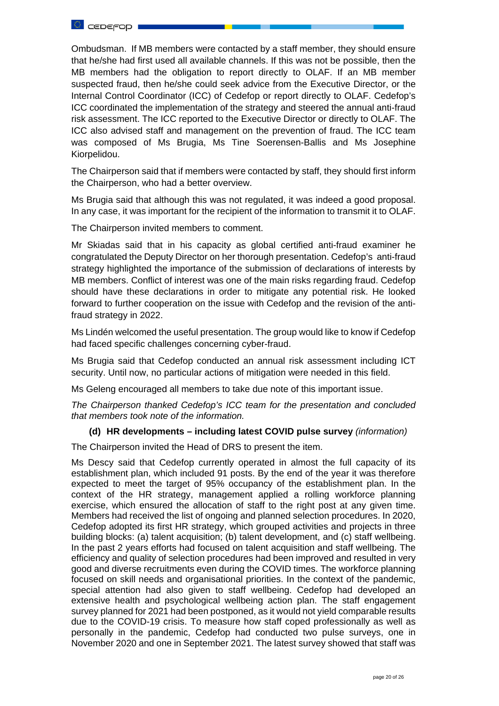

Ombudsman. If MB members were contacted by a staff member, they should ensure that he/she had first used all available channels. If this was not be possible, then the MB members had the obligation to report directly to OLAF. If an MB member suspected fraud, then he/she could seek advice from the Executive Director, or the Internal Control Coordinator (ICC) of Cedefop or report directly to OLAF. Cedefop's ICC coordinated the implementation of the strategy and steered the annual anti-fraud risk assessment. The ICC reported to the Executive Director or directly to OLAF. The ICC also advised staff and management on the prevention of fraud. The ICC team was composed of Ms Brugia, Ms Tine Soerensen-Ballis and Ms Josephine Kiorpelidou.

The Chairperson said that if members were contacted by staff, they should first inform the Chairperson, who had a better overview.

Ms Brugia said that although this was not regulated, it was indeed a good proposal. In any case, it was important for the recipient of the information to transmit it to OLAF.

The Chairperson invited members to comment.

Mr Skiadas said that in his capacity as global certified anti-fraud examiner he congratulated the Deputy Director on her thorough presentation. Cedefop's anti-fraud strategy highlighted the importance of the submission of declarations of interests by MB members. Conflict of interest was one of the main risks regarding fraud. Cedefop should have these declarations in order to mitigate any potential risk. He looked forward to further cooperation on the issue with Cedefop and the revision of the antifraud strategy in 2022.

Ms Lindén welcomed the useful presentation. The group would like to know if Cedefop had faced specific challenges concerning cyber-fraud.

Ms Brugia said that Cedefop conducted an annual risk assessment including ICT security. Until now, no particular actions of mitigation were needed in this field.

Ms Geleng encouraged all members to take due note of this important issue.

*The Chairperson thanked Cedefop's ICC team for the presentation and concluded that members took note of the information.*

## **(d) HR developments – including latest COVID pulse survey** *(information)*

The Chairperson invited the Head of DRS to present the item.

Ms Descy said that Cedefop currently operated in almost the full capacity of its establishment plan, which included 91 posts. By the end of the year it was therefore expected to meet the target of 95% occupancy of the establishment plan. In the context of the HR strategy, management applied a rolling workforce planning exercise, which ensured the allocation of staff to the right post at any given time. Members had received the list of ongoing and planned selection procedures. In 2020, Cedefop adopted its first HR strategy, which grouped activities and projects in three building blocks: (a) talent acquisition; (b) talent development, and (c) staff wellbeing. In the past 2 years efforts had focused on talent acquisition and staff wellbeing. The efficiency and quality of selection procedures had been improved and resulted in very good and diverse recruitments even during the COVID times. The workforce planning focused on skill needs and organisational priorities. In the context of the pandemic, special attention had also given to staff wellbeing. Cedefop had developed an extensive health and psychological wellbeing action plan. The staff engagement survey planned for 2021 had been postponed, as it would not yield comparable results due to the COVID-19 crisis. To measure how staff coped professionally as well as personally in the pandemic, Cedefop had conducted two pulse surveys, one in November 2020 and one in September 2021. The latest survey showed that staff was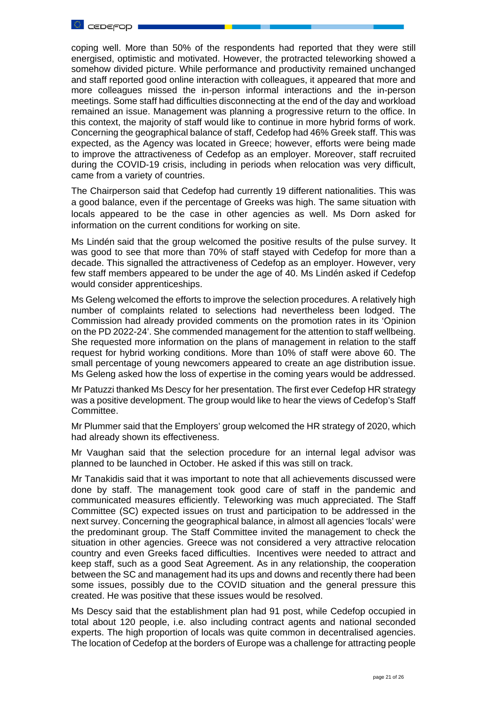

coping well. More than 50% of the respondents had reported that they were still energised, optimistic and motivated. However, the protracted teleworking showed a somehow divided picture. While performance and productivity remained unchanged and staff reported good online interaction with colleagues, it appeared that more and more colleagues missed the in-person informal interactions and the in-person meetings. Some staff had difficulties disconnecting at the end of the day and workload remained an issue. Management was planning a progressive return to the office. In this context, the majority of staff would like to continue in more hybrid forms of work. Concerning the geographical balance of staff, Cedefop had 46% Greek staff. This was expected, as the Agency was located in Greece; however, efforts were being made to improve the attractiveness of Cedefop as an employer. Moreover, staff recruited during the COVID-19 crisis, including in periods when relocation was very difficult, came from a variety of countries.

The Chairperson said that Cedefop had currently 19 different nationalities. This was a good balance, even if the percentage of Greeks was high. The same situation with locals appeared to be the case in other agencies as well. Ms Dorn asked for information on the current conditions for working on site.

Ms Lindén said that the group welcomed the positive results of the pulse survey. It was good to see that more than 70% of staff stayed with Cedefop for more than a decade. This signalled the attractiveness of Cedefop as an employer. However, very few staff members appeared to be under the age of 40. Ms Lindén asked if Cedefop would consider apprenticeships.

Ms Geleng welcomed the efforts to improve the selection procedures. A relatively high number of complaints related to selections had nevertheless been lodged. The Commission had already provided comments on the promotion rates in its 'Opinion on the PD 2022-24'. She commended management for the attention to staff wellbeing. She requested more information on the plans of management in relation to the staff request for hybrid working conditions. More than 10% of staff were above 60. The small percentage of young newcomers appeared to create an age distribution issue. Ms Geleng asked how the loss of expertise in the coming years would be addressed.

Mr Patuzzi thanked Ms Descy for her presentation. The first ever Cedefop HR strategy was a positive development. The group would like to hear the views of Cedefop's Staff Committee.

Mr Plummer said that the Employers' group welcomed the HR strategy of 2020, which had already shown its effectiveness.

Mr Vaughan said that the selection procedure for an internal legal advisor was planned to be launched in October. He asked if this was still on track.

Mr Tanakidis said that it was important to note that all achievements discussed were done by staff. The management took good care of staff in the pandemic and communicated measures efficiently. Teleworking was much appreciated. The Staff Committee (SC) expected issues on trust and participation to be addressed in the next survey. Concerning the geographical balance, in almost all agencies 'locals' were the predominant group. The Staff Committee invited the management to check the situation in other agencies. Greece was not considered a very attractive relocation country and even Greeks faced difficulties. Incentives were needed to attract and keep staff, such as a good Seat Agreement. As in any relationship, the cooperation between the SC and management had its ups and downs and recently there had been some issues, possibly due to the COVID situation and the general pressure this created. He was positive that these issues would be resolved.

Ms Descy said that the establishment plan had 91 post, while Cedefop occupied in total about 120 people, i.e. also including contract agents and national seconded experts. The high proportion of locals was quite common in decentralised agencies. The location of Cedefop at the borders of Europe was a challenge for attracting people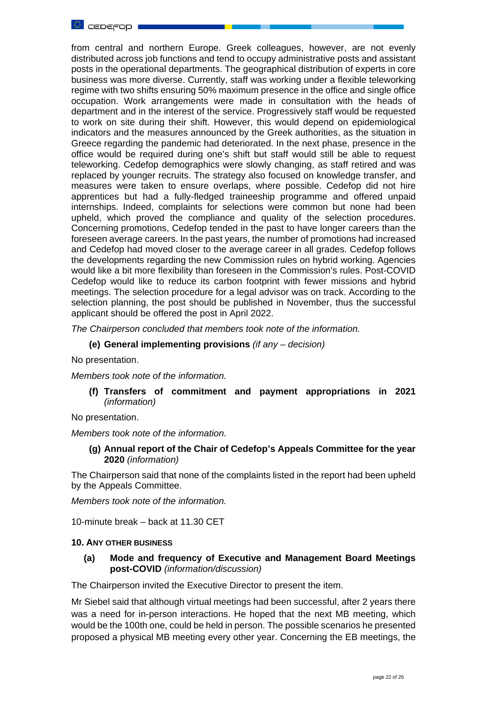

from central and northern Europe. Greek colleagues, however, are not evenly distributed across job functions and tend to occupy administrative posts and assistant posts in the operational departments. The geographical distribution of experts in core business was more diverse. Currently, staff was working under a flexible teleworking regime with two shifts ensuring 50% maximum presence in the office and single office occupation. Work arrangements were made in consultation with the heads of department and in the interest of the service. Progressively staff would be requested to work on site during their shift. However, this would depend on epidemiological indicators and the measures announced by the Greek authorities, as the situation in Greece regarding the pandemic had deteriorated. In the next phase, presence in the office would be required during one's shift but staff would still be able to request teleworking. Cedefop demographics were slowly changing, as staff retired and was replaced by younger recruits. The strategy also focused on knowledge transfer, and measures were taken to ensure overlaps, where possible. Cedefop did not hire apprentices but had a fully-fledged traineeship programme and offered unpaid internships. Indeed, complaints for selections were common but none had been upheld, which proved the compliance and quality of the selection procedures. Concerning promotions, Cedefop tended in the past to have longer careers than the foreseen average careers. In the past years, the number of promotions had increased and Cedefop had moved closer to the average career in all grades. Cedefop follows the developments regarding the new Commission rules on hybrid working. Agencies would like a bit more flexibility than foreseen in the Commission's rules. Post-COVID Cedefop would like to reduce its carbon footprint with fewer missions and hybrid meetings. The selection procedure for a legal advisor was on track. According to the selection planning, the post should be published in November, thus the successful applicant should be offered the post in April 2022.

*The Chairperson concluded that members took note of the information.*

**(e) General implementing provisions** *(if any – decision)*

No presentation.

*Members took note of the information.*

**(f) Transfers of commitment and payment appropriations in 2021**  *(information)*

No presentation.

*Members took note of the information.*

**(g) Annual report of the Chair of Cedefop's Appeals Committee for the year 2020** *(information)*

The Chairperson said that none of the complaints listed in the report had been upheld by the Appeals Committee.

*Members took note of the information.*

10-minute break – back at 11.30 CET

#### **10. ANY OTHER BUSINESS**

**(a) Mode and frequency of Executive and Management Board Meetings post-COVID** *(information/discussion)*

The Chairperson invited the Executive Director to present the item.

Mr Siebel said that although virtual meetings had been successful, after 2 years there was a need for in-person interactions. He hoped that the next MB meeting, which would be the 100th one, could be held in person. The possible scenarios he presented proposed a physical MB meeting every other year. Concerning the EB meetings, the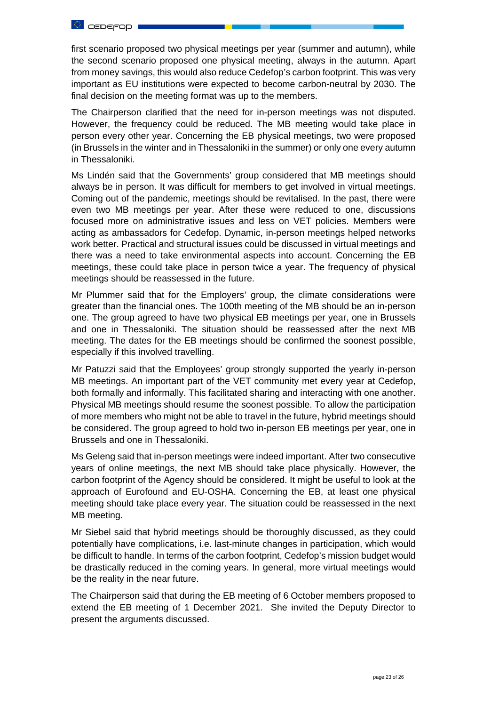

first scenario proposed two physical meetings per year (summer and autumn), while the second scenario proposed one physical meeting, always in the autumn. Apart from money savings, this would also reduce Cedefop's carbon footprint. This was very important as EU institutions were expected to become carbon-neutral by 2030. The final decision on the meeting format was up to the members.

The Chairperson clarified that the need for in-person meetings was not disputed. However, the frequency could be reduced. The MB meeting would take place in person every other year. Concerning the EB physical meetings, two were proposed (in Brussels in the winter and in Thessaloniki in the summer) or only one every autumn in Thessaloniki.

Ms Lindén said that the Governments' group considered that MB meetings should always be in person. It was difficult for members to get involved in virtual meetings. Coming out of the pandemic, meetings should be revitalised. In the past, there were even two MB meetings per year. After these were reduced to one, discussions focused more on administrative issues and less on VET policies. Members were acting as ambassadors for Cedefop. Dynamic, in-person meetings helped networks work better. Practical and structural issues could be discussed in virtual meetings and there was a need to take environmental aspects into account. Concerning the EB meetings, these could take place in person twice a year. The frequency of physical meetings should be reassessed in the future.

Mr Plummer said that for the Employers' group, the climate considerations were greater than the financial ones. The 100th meeting of the MB should be an in-person one. The group agreed to have two physical EB meetings per year, one in Brussels and one in Thessaloniki. The situation should be reassessed after the next MB meeting. The dates for the EB meetings should be confirmed the soonest possible, especially if this involved travelling.

Mr Patuzzi said that the Employees' group strongly supported the yearly in-person MB meetings. An important part of the VET community met every year at Cedefop, both formally and informally. This facilitated sharing and interacting with one another. Physical MB meetings should resume the soonest possible. To allow the participation of more members who might not be able to travel in the future, hybrid meetings should be considered. The group agreed to hold two in-person EB meetings per year, one in Brussels and one in Thessaloniki.

Ms Geleng said that in-person meetings were indeed important. After two consecutive years of online meetings, the next MB should take place physically. However, the carbon footprint of the Agency should be considered. It might be useful to look at the approach of Eurofound and EU-OSHA. Concerning the EB, at least one physical meeting should take place every year. The situation could be reassessed in the next MB meeting.

Mr Siebel said that hybrid meetings should be thoroughly discussed, as they could potentially have complications, i.e. last-minute changes in participation, which would be difficult to handle. In terms of the carbon footprint, Cedefop's mission budget would be drastically reduced in the coming years. In general, more virtual meetings would be the reality in the near future.

The Chairperson said that during the EB meeting of 6 October members proposed to extend the EB meeting of 1 December 2021. She invited the Deputy Director to present the arguments discussed.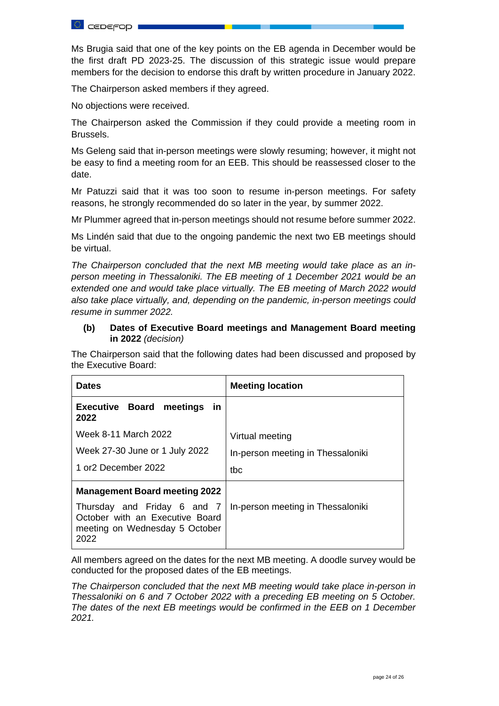

Ms Brugia said that one of the key points on the EB agenda in December would be the first draft PD 2023-25. The discussion of this strategic issue would prepare members for the decision to endorse this draft by written procedure in January 2022.

The Chairperson asked members if they agreed.

No objections were received.

The Chairperson asked the Commission if they could provide a meeting room in Brussels.

Ms Geleng said that in-person meetings were slowly resuming; however, it might not be easy to find a meeting room for an EEB. This should be reassessed closer to the date.

Mr Patuzzi said that it was too soon to resume in-person meetings. For safety reasons, he strongly recommended do so later in the year, by summer 2022.

Mr Plummer agreed that in-person meetings should not resume before summer 2022.

Ms Lindén said that due to the ongoing pandemic the next two EB meetings should be virtual.

*The Chairperson concluded that the next MB meeting would take place as an inperson meeting in Thessaloniki. The EB meeting of 1 December 2021 would be an extended one and would take place virtually. The EB meeting of March 2022 would also take place virtually, and, depending on the pandemic, in-person meetings could resume in summer 2022.* 

# **(b) Dates of Executive Board meetings and Management Board meeting in 2022** *(decision)*

The Chairperson said that the following dates had been discussed and proposed by the Executive Board:

| <b>Dates</b>                                                                                             | <b>Meeting location</b>           |
|----------------------------------------------------------------------------------------------------------|-----------------------------------|
| <b>Executive Board meetings</b><br>- in<br>2022                                                          |                                   |
| Week 8-11 March 2022                                                                                     | Virtual meeting                   |
| Week 27-30 June or 1 July 2022                                                                           | In-person meeting in Thessaloniki |
| 1 or2 December 2022                                                                                      | tbc                               |
| <b>Management Board meeting 2022</b>                                                                     |                                   |
| Thursday and Friday 6 and 7<br>October with an Executive Board<br>meeting on Wednesday 5 October<br>2022 | In-person meeting in Thessaloniki |

All members agreed on the dates for the next MB meeting. A doodle survey would be conducted for the proposed dates of the EB meetings.

*The Chairperson concluded that the next MB meeting would take place in-person in Thessaloniki on 6 and 7 October 2022 with a preceding EB meeting on 5 October. The dates of the next EB meetings would be confirmed in the EEB on 1 December 2021.*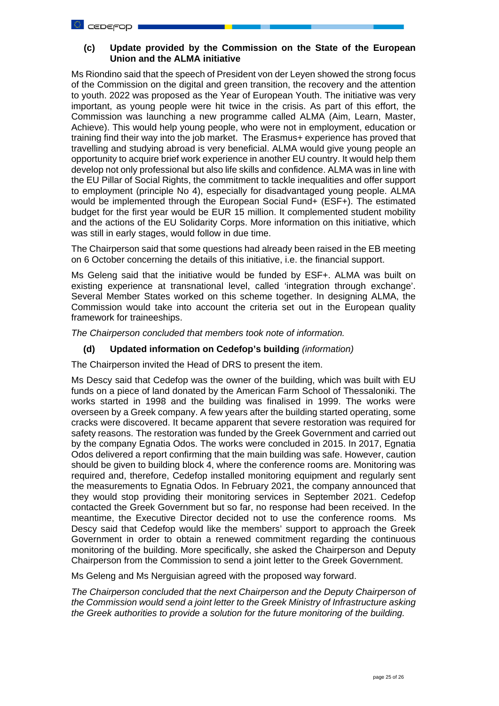# **(c) Update provided by the Commission on the State of the European Union and the ALMA initiative**

Ms Riondino said that the speech of President von der Leyen showed the strong focus of the Commission on the digital and green transition, the recovery and the attention to youth. 2022 was proposed as the Year of European Youth. The initiative was very important, as young people were hit twice in the crisis. As part of this effort, the Commission was launching a new programme called ALMA (Aim, Learn, Master, Achieve). This would help young people, who were not in employment, education or training find their way into the job market. The Erasmus+ experience has proved that travelling and studying abroad is very beneficial. ALMA would give young people an opportunity to acquire brief work experience in another EU country. It would help them develop not only professional but also life skills and confidence. ALMA was in line with the EU Pillar of Social Rights, the commitment to tackle inequalities and offer support to employment (principle No 4), especially for disadvantaged young people. ALMA would be implemented through the European Social Fund+ (ESF+). The estimated budget for the first year would be EUR 15 million. It complemented student mobility and the actions of the EU Solidarity Corps. More information on this initiative, which was still in early stages, would follow in due time.

The Chairperson said that some questions had already been raised in the EB meeting on 6 October concerning the details of this initiative, i.e. the financial support.

Ms Geleng said that the initiative would be funded by ESF+. ALMA was built on existing experience at transnational level, called 'integration through exchange'. Several Member States worked on this scheme together. In designing ALMA, the Commission would take into account the criteria set out in the European quality framework for traineeships.

*The Chairperson concluded that members took note of information.* 

## **(d) Updated information on Cedefop's building** *(information)*

The Chairperson invited the Head of DRS to present the item.

Ms Descy said that Cedefop was the owner of the building, which was built with EU funds on a piece of land donated by the American Farm School of Thessaloniki. The works started in 1998 and the building was finalised in 1999. The works were overseen by a Greek company. A few years after the building started operating, some cracks were discovered. It became apparent that severe restoration was required for safety reasons. The restoration was funded by the Greek Government and carried out by the company Egnatia Odos. The works were concluded in 2015. In 2017, Egnatia Odos delivered a report confirming that the main building was safe. However, caution should be given to building block 4, where the conference rooms are. Monitoring was required and, therefore, Cedefop installed monitoring equipment and regularly sent the measurements to Egnatia Odos. In February 2021, the company announced that they would stop providing their monitoring services in September 2021. Cedefop contacted the Greek Government but so far, no response had been received. In the meantime, the Executive Director decided not to use the conference rooms. Ms Descy said that Cedefop would like the members' support to approach the Greek Government in order to obtain a renewed commitment regarding the continuous monitoring of the building. More specifically, she asked the Chairperson and Deputy Chairperson from the Commission to send a joint letter to the Greek Government.

Ms Geleng and Ms Nerguisian agreed with the proposed way forward.

*The Chairperson concluded that the next Chairperson and the Deputy Chairperson of the Commission would send a joint letter to the Greek Ministry of Infrastructure asking the Greek authorities to provide a solution for the future monitoring of the building.*